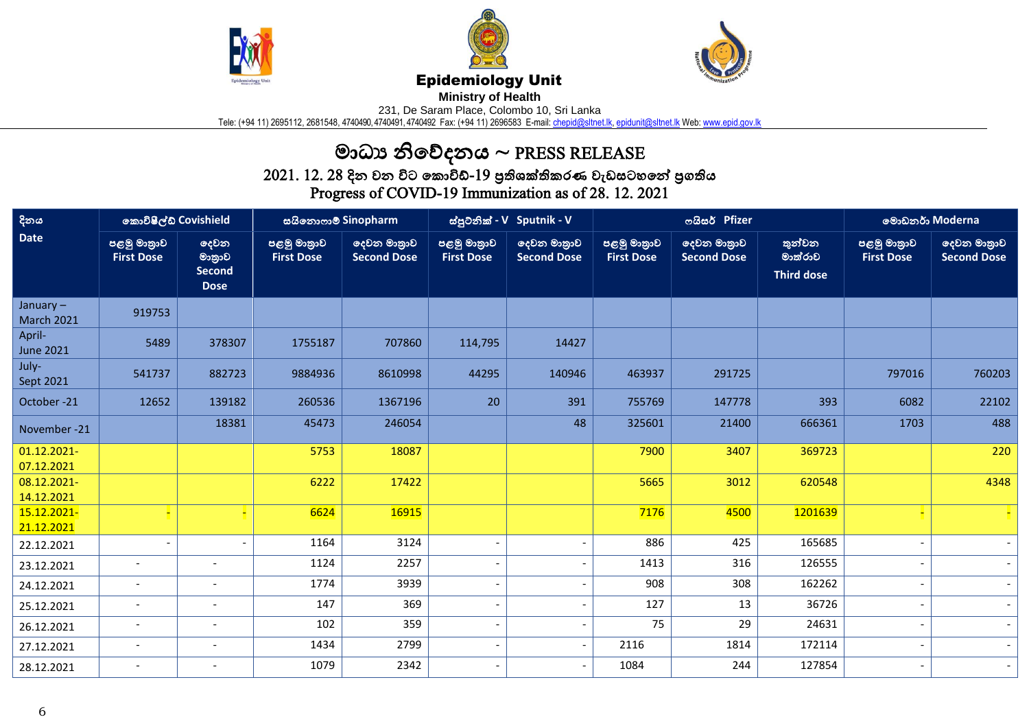





## Epidemiology Unit

**Ministry of Health** 

231, De Saram Place, Colombo 10, Sri Lanka

Tele: (+94 11) 2695112, 2681548, 4740490, 4740491, 4740492 Fax: (+94 11) 2696583 E-mail: <u>chepid@sltnet.lk, [epidunit@sltnet.lk](mailto:epidunit@sltnet.lk)</u> Web: <u>www.epid.gov.lk</u>

## මාධ්ය නිවේදනය ~ PRESS RELEASE

 $2021$ .  $12$ .  $28$  දින වන විට කොවිඩ්- $19$  පුතිශක්තිකරණ වැඩසටහනේ පුගතිය Progress of COVID-19 Immunization as of 28. 12. 2021

| දිනය<br><b>Date</b>           | කොවිෂීල්ඩ් Covishield            |                                                | සයිනොෆාම් Sinopharm              |                                   | ස්පුටනික් - V Sputnik - V        |                                   | ოයිසර් Pfizer                    |                                   |                                        | මොඩනර් Moderna                   |                                   |
|-------------------------------|----------------------------------|------------------------------------------------|----------------------------------|-----------------------------------|----------------------------------|-----------------------------------|----------------------------------|-----------------------------------|----------------------------------------|----------------------------------|-----------------------------------|
|                               | පළමු මාතුාව<br><b>First Dose</b> | දෙවන<br>මානුාව<br><b>Second</b><br><b>Dose</b> | පළමු මාතුාව<br><b>First Dose</b> | දෙවන මාතුාව<br><b>Second Dose</b> | පළමු මාතුාව<br><b>First Dose</b> | දෙවන මාතුාව<br><b>Second Dose</b> | පළමු මාතුාව<br><b>First Dose</b> | දෙවන මාතුාව<br><b>Second Dose</b> | තුන්වන<br>මාත්රාව<br><b>Third dose</b> | පළමු මාතුාව<br><b>First Dose</b> | දෙවන මාතුාව<br><b>Second Dose</b> |
| January-<br><b>March 2021</b> | 919753                           |                                                |                                  |                                   |                                  |                                   |                                  |                                   |                                        |                                  |                                   |
| April-<br><b>June 2021</b>    | 5489                             | 378307                                         | 1755187                          | 707860                            | 114,795                          | 14427                             |                                  |                                   |                                        |                                  |                                   |
| July-<br>Sept 2021            | 541737                           | 882723                                         | 9884936                          | 8610998                           | 44295                            | 140946                            | 463937                           | 291725                            |                                        | 797016                           | 760203                            |
| October-21                    | 12652                            | 139182                                         | 260536                           | 1367196                           | 20                               | 391                               | 755769                           | 147778                            | 393                                    | 6082                             | 22102                             |
| November -21                  |                                  | 18381                                          | 45473                            | 246054                            |                                  | 48                                | 325601                           | 21400                             | 666361                                 | 1703                             | 488                               |
| 01.12.2021-<br>07.12.2021     |                                  |                                                | 5753                             | 18087                             |                                  |                                   | 7900                             | 3407                              | 369723                                 |                                  | 220                               |
| 08.12.2021-<br>14.12.2021     |                                  |                                                | 6222                             | 17422                             |                                  |                                   | 5665                             | 3012                              | 620548                                 |                                  | 4348                              |
| 15.12.2021-<br>21.12.2021     |                                  |                                                | 6624                             | 16915                             |                                  |                                   | 7176                             | 4500                              | 1201639                                |                                  |                                   |
| 22.12.2021                    | $\overline{\phantom{a}}$         | $\blacksquare$                                 | 1164                             | 3124                              |                                  | $\overline{a}$                    | 886                              | 425                               | 165685                                 |                                  |                                   |
| 23.12.2021                    | $\overline{\phantom{a}}$         | $\overline{\phantom{a}}$                       | 1124                             | 2257                              |                                  | $\overline{a}$                    | 1413                             | 316                               | 126555                                 |                                  | $\sim$                            |
| 24.12.2021                    | $\overline{\phantom{a}}$         | $\overline{\phantom{a}}$                       | 1774                             | 3939                              |                                  | $\overline{a}$                    | 908                              | 308                               | 162262                                 |                                  | $\overline{a}$                    |
| 25.12.2021                    |                                  |                                                | 147                              | 369                               |                                  | $\qquad \qquad \blacksquare$      | 127                              | 13                                | 36726                                  |                                  |                                   |
| 26.12.2021                    | $\overline{\phantom{a}}$         | $\overline{\phantom{a}}$                       | 102                              | 359                               | ÷,                               | $\overline{\phantom{a}}$          | 75                               | 29                                | 24631                                  |                                  |                                   |
| 27.12.2021                    | $\overline{\phantom{a}}$         | $\overline{\phantom{a}}$                       | 1434                             | 2799                              |                                  | $\overline{a}$                    | 2116                             | 1814                              | 172114                                 |                                  | $\overline{\phantom{a}}$          |
| 28.12.2021                    | $\overline{\phantom{a}}$         | $\overline{\phantom{a}}$                       | 1079                             | 2342                              |                                  | $\overline{\phantom{a}}$          | 1084                             | 244                               | 127854                                 |                                  | $\overline{\phantom{a}}$          |